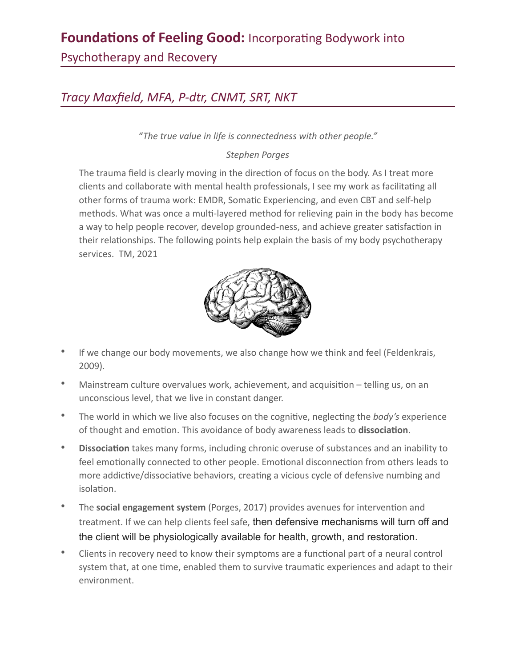## **Foundations of Feeling Good:** Incorporating Bodywork into

Psychotherapy and Recovery

## *Tracy Maxfield, MFA, P-dtr, CNMT, SRT, NKT*

*"The true value in life is connectedness with other people."* 

## *Stephen Porges*

The trauma field is clearly moving in the direction of focus on the body. As I treat more clients and collaborate with mental health professionals, I see my work as facilitating all other forms of trauma work: EMDR, Somatic Experiencing, and even CBT and self-help methods. What was once a multi-layered method for relieving pain in the body has become a way to help people recover, develop grounded-ness, and achieve greater satisfaction in their relationships. The following points help explain the basis of my body psychotherapy services. TM, 2021



- If we change our body movements, we also change how we think and feel (Feldenkrais, 2009).
- Mainstream culture overvalues work, achievement, and acquisition telling us, on an unconscious level, that we live in constant danger.
- The world in which we live also focuses on the cognitive, neglecting the *body's* experience of thought and emotion. This avoidance of body awareness leads to dissociation.
- Dissociation takes many forms, including chronic overuse of substances and an inability to feel emotionally connected to other people. Emotional disconnection from others leads to more addictive/dissociative behaviors, creating a vicious cycle of defensive numbing and isolation.
- The **social engagement system** (Porges, 2017) provides avenues for intervention and treatment. If we can help clients feel safe, then defensive mechanisms will turn off and the client will be physiologically available for health, growth, and restoration.
- Clients in recovery need to know their symptoms are a functional part of a neural control system that, at one time, enabled them to survive traumatic experiences and adapt to their environment.